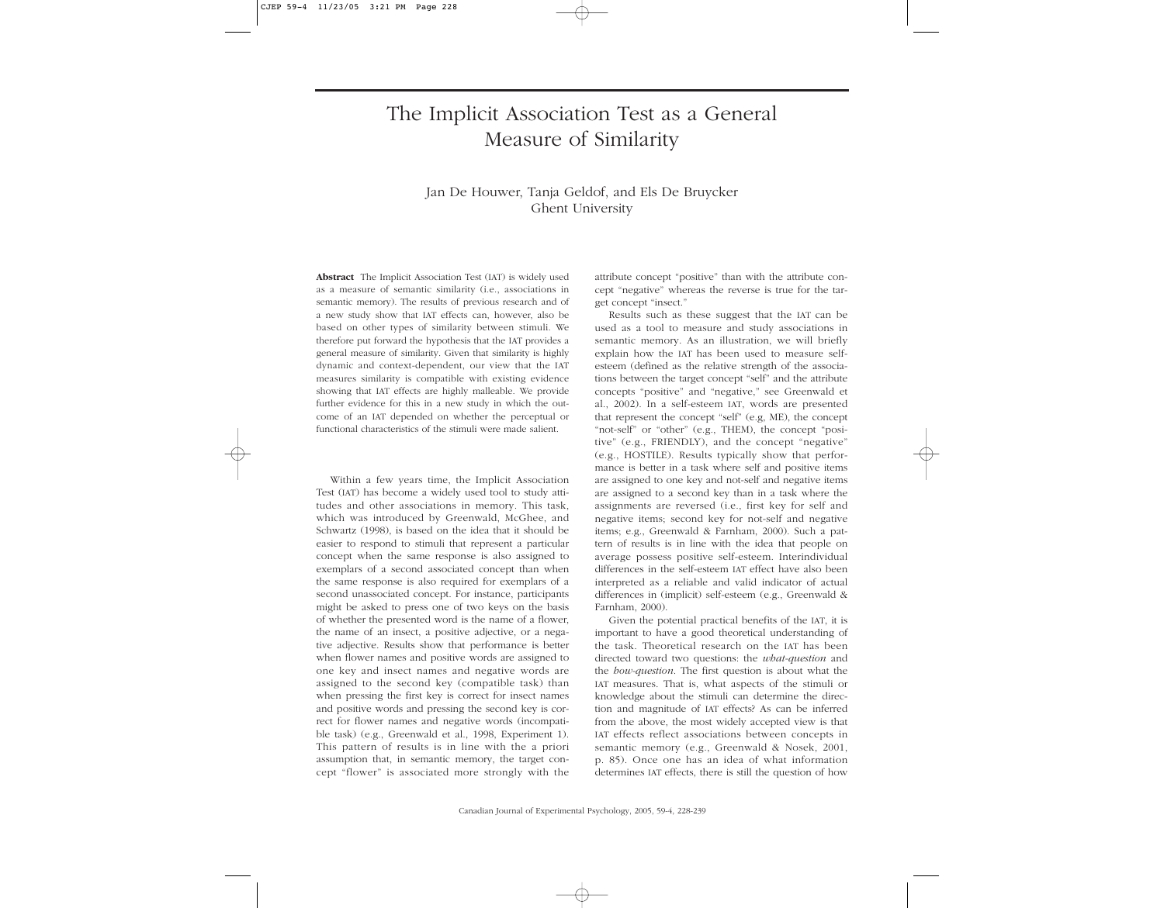# The Implicit Association Test as a General Measure of Similarity

# Jan De Houwer, Tanja Geldof, and Els De Bruycker Ghent University

**Abstract** The Implicit Association Test (IAT) is widely used as a measure of semantic similarity (i.e., associations in semantic memory). The results of previous research and of a new study show that IAT effects can, however, also be based on other types of similarity between stimuli. We therefore put forward the hypothesis that the IAT provides a general measure of similarity. Given that similarity is highly dynamic and context-dependent, our view that the IAT measures similarity is compatible with existing evidence showing that IAT effects are highly malleable. We provide further evidence for this in a new study in which the outcome of an IAT depended on whether the perceptual or functional characteristics of the stimuli were made salient.

Within a few years time, the Implicit Association Test (IAT) has become a widely used tool to study attitudes and other associations in memory. This task, which was introduced by Greenwald, McGhee, and Schwartz (1998), is based on the idea that it should be easier to respond to stimuli that represent a particular concept when the same response is also assigned to exemplars of a second associated concept than when the same response is also required for exemplars of a second unassociated concept. For instance, participants might be asked to press one of two keys on the basis of whether the presented word is the name of a flower, the name of an insect, a positive adjective, or a negative adjective. Results show that performance is better when flower names and positive words are assigned to one key and insect names and negative words are assigned to the second key (compatible task) than when pressing the first key is correct for insect names and positive words and pressing the second key is correct for flower names and negative words (incompatible task) (e.g., Greenwald et al., 1998, Experiment 1). This pattern of results is in line with the a priori assumption that, in semantic memory, the target concept "flower" is associated more strongly with the

attribute concept "positive" than with the attribute concept "negative" whereas the reverse is true for the target concept "insect."

Results such as these suggest that the IAT can be used as a tool to measure and study associations in semantic memory. As an illustration, we will briefly explain how the IAT has been used to measure selfesteem (defined as the relative strength of the associations between the target concept "self" and the attribute concepts "positive" and "negative," see Greenwald et al., 2002). In a self-esteem IAT, words are presented that represent the concept "self" (e.g, ME), the concept "not-self" or "other" (e.g., THEM), the concept "positive" (e.g., FRIENDLY), and the concept "negative" (e.g., HOSTILE). Results typically show that performance is better in a task where self and positive items are assigned to one key and not-self and negative items are assigned to a second key than in a task where the assignments are reversed (i.e., first key for self and negative items; second key for not-self and negative items; e.g., Greenwald & Farnham, 2000). Such a pattern of results is in line with the idea that people on average possess positive self-esteem. Interindividual differences in the self-esteem IAT effect have also been interpreted as a reliable and valid indicator of actual differences in (implicit) self-esteem (e.g., Greenwald & Farnham, 2000).

Given the potential practical benefits of the IAT, it is important to have a good theoretical understanding of the task. Theoretical research on the IAT has been directed toward two questions: the *what-question* and the *how-question*. The first question is about what the IAT measures. That is, what aspects of the stimuli or knowledge about the stimuli can determine the direction and magnitude of IAT effects? As can be inferred from the above, the most widely accepted view is that IAT effects reflect associations between concepts in semantic memory (e.g., Greenwald & Nosek, 2001, p. 85). Once one has an idea of what information determines IAT effects, there is still the question of how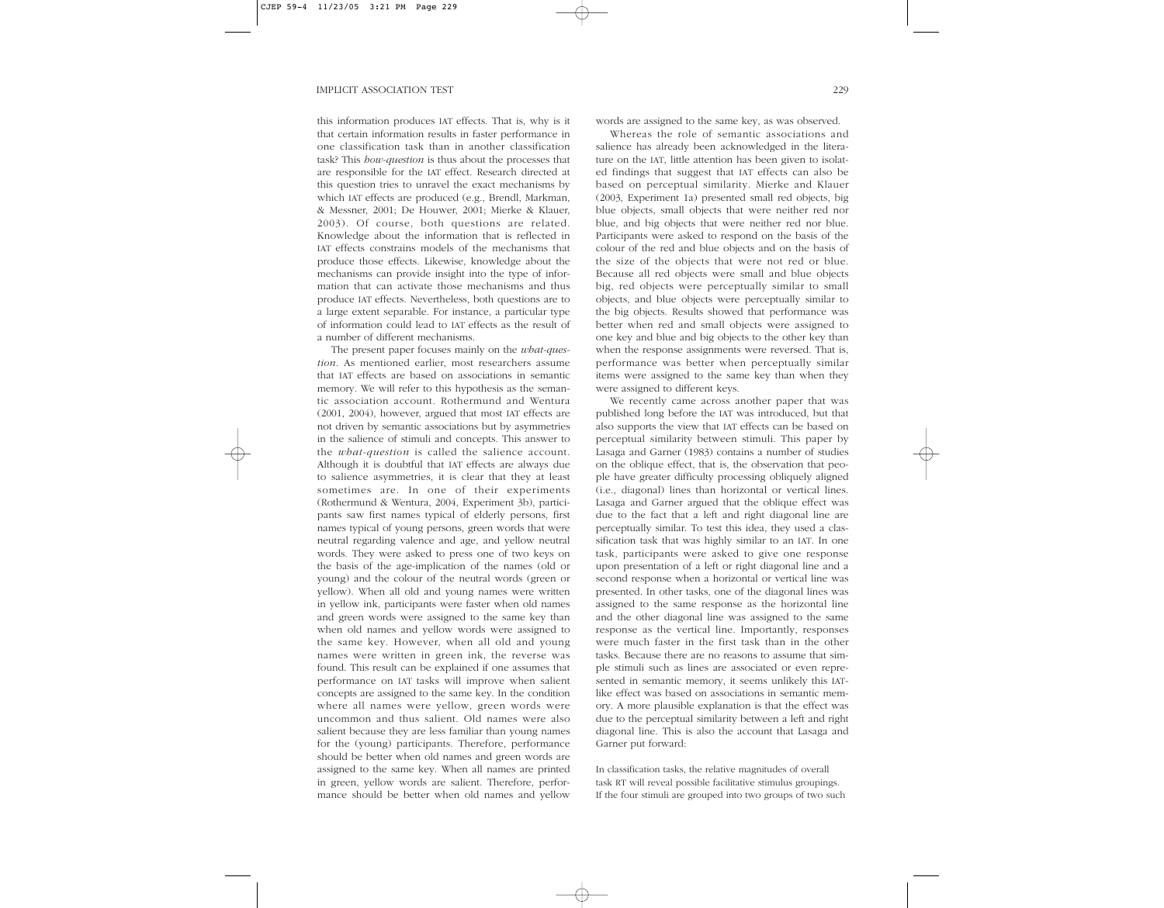this information produces IAT effects. That is, why is it that certain information results in faster performance in one classification task than in another classification task? This *how-question* is thus about the processes that are responsible for the IAT effect. Research directed at this question tries to unravel the exact mechanisms by which IAT effects are produced (e.g., Brendl, Markman, & Messner, 2001; De Houwer, 2001; Mierke & Klauer, 2003). Of course, both questions are related. Knowledge about the information that is reflected in IAT effects constrains models of the mechanisms that produce those effects. Likewise, knowledge about the mechanisms can provide insight into the type of information that can activate those mechanisms and thus produce IAT effects. Nevertheless, both questions are to a large extent separable. For instance, a particular type of information could lead to IAT effects as the result of a number of different mechanisms.

The present paper focuses mainly on the *what-question*. As mentioned earlier, most researchers assume that IAT effects are based on associations in semantic memory. We will refer to this hypothesis as the semantic association account. Rothermund and Wentura (2001, 2004), however, argued that most IAT effects are not driven by semantic associations but by asymmetries in the salience of stimuli and concepts. This answer to the *what-question* is called the salience account. Although it is doubtful that IAT effects are always due to salience asymmetries, it is clear that they at least sometimes are. In one of their experiments (Rothermund & Wentura, 2004, Experiment 3b), participants saw first names typical of elderly persons, first names typical of young persons, green words that were neutral regarding valence and age, and yellow neutral words. They were asked to press one of two keys on the basis of the age-implication of the names (old or young) and the colour of the neutral words (green or yellow). When all old and young names were written in yellow ink, participants were faster when old names and green words were assigned to the same key than when old names and yellow words were assigned to the same key. However, when all old and young names were written in green ink, the reverse was found. This result can be explained if one assumes that performance on IAT tasks will improve when salient concepts are assigned to the same key. In the condition where all names were yellow, green words were uncommon and thus salient. Old names were also salient because they are less familiar than young names for the (young) participants. Therefore, performance should be better when old names and green words are assigned to the same key. When all names are printed in green, yellow words are salient. Therefore, performance should be better when old names and yellow words are assigned to the same key, as was observed.

Whereas the role of semantic associations and salience has already been acknowledged in the literature on the IAT, little attention has been given to isolated findings that suggest that IAT effects can also be based on perceptual similarity. Mierke and Klauer (2003, Experiment 1a) presented small red objects, big blue objects, small objects that were neither red nor blue, and big objects that were neither red nor blue. Participants were asked to respond on the basis of the colour of the red and blue objects and on the basis of the size of the objects that were not red or blue. Because all red objects were small and blue objects big, red objects were perceptually similar to small objects, and blue objects were perceptually similar to the big objects. Results showed that performance was better when red and small objects were assigned to one key and blue and big objects to the other key than when the response assignments were reversed. That is, performance was better when perceptually similar items were assigned to the same key than when they were assigned to different keys.

We recently came across another paper that was published long before the IAT was introduced, but that also supports the view that IAT effects can be based on perceptual similarity between stimuli. This paper by Lasaga and Garner (1983) contains a number of studies on the oblique effect, that is, the observation that people have greater difficulty processing obliquely aligned (i.e., diagonal) lines than horizontal or vertical lines. Lasaga and Garner argued that the oblique effect was due to the fact that a left and right diagonal line are perceptually similar. To test this idea, they used a classification task that was highly similar to an IAT. In one task, participants were asked to give one response upon presentation of a left or right diagonal line and a second response when a horizontal or vertical line was presented. In other tasks, one of the diagonal lines was assigned to the same response as the horizontal line and the other diagonal line was assigned to the same response as the vertical line. Importantly, responses were much faster in the first task than in the other tasks. Because there are no reasons to assume that simple stimuli such as lines are associated or even represented in semantic memory, it seems unlikely this IATlike effect was based on associations in semantic memory. A more plausible explanation is that the effect was due to the perceptual similarity between a left and right diagonal line. This is also the account that Lasaga and Garner put forward:

In classification tasks, the relative magnitudes of overall task RT will reveal possible facilitative stimulus groupings. If the four stimuli are grouped into two groups of two such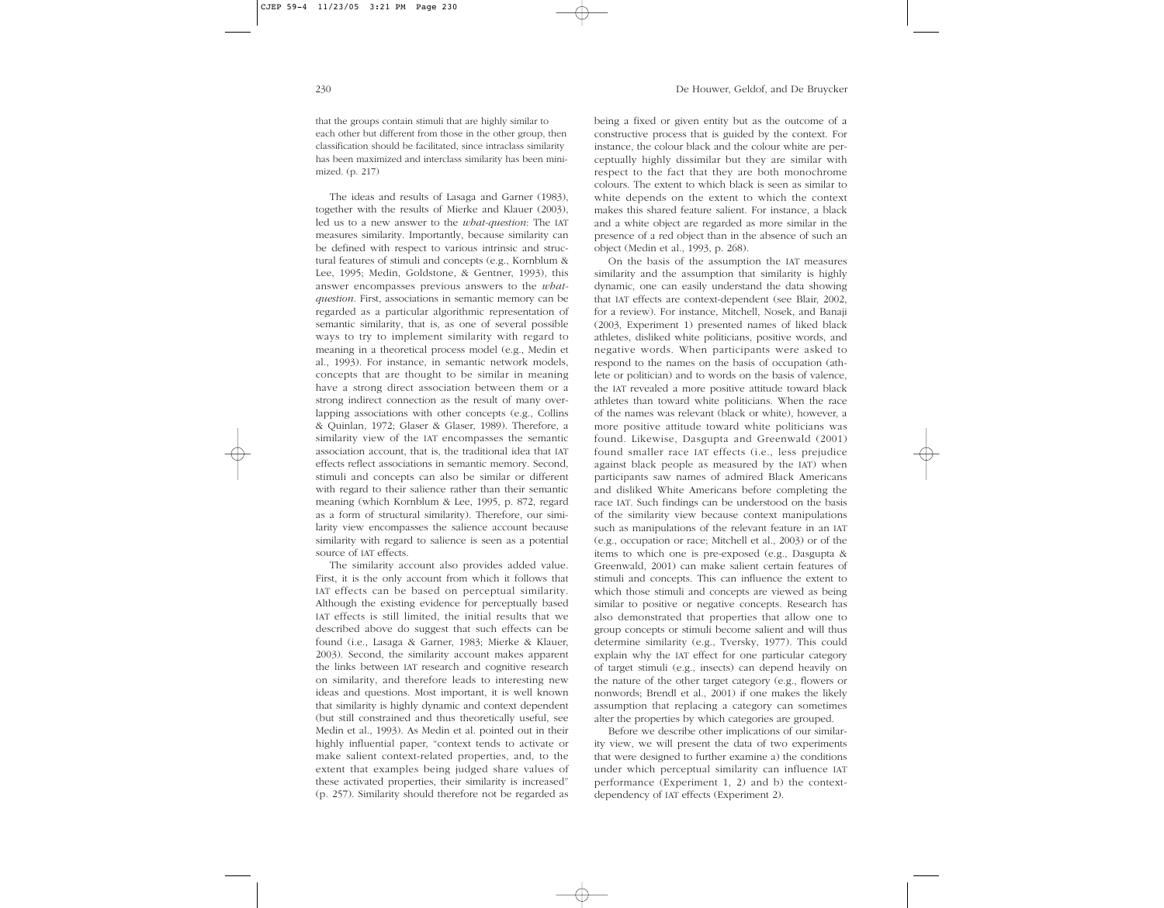that the groups contain stimuli that are highly similar to each other but different from those in the other group, then classification should be facilitated, since intraclass similarity has been maximized and interclass similarity has been minimized. (p. 217)

The ideas and results of Lasaga and Garner (1983), together with the results of Mierke and Klauer (2003), led us to a new answer to the *what-question*: The IAT measures similarity. Importantly, because similarity can be defined with respect to various intrinsic and structural features of stimuli and concepts (e.g., Kornblum & Lee, 1995; Medin, Goldstone, & Gentner, 1993), this answer encompasses previous answers to the *whatquestion*. First, associations in semantic memory can be regarded as a particular algorithmic representation of semantic similarity, that is, as one of several possible ways to try to implement similarity with regard to meaning in a theoretical process model (e.g., Medin et al., 1993). For instance, in semantic network models, concepts that are thought to be similar in meaning have a strong direct association between them or a strong indirect connection as the result of many overlapping associations with other concepts (e.g., Collins & Quinlan, 1972; Glaser & Glaser, 1989). Therefore, a similarity view of the IAT encompasses the semantic association account, that is, the traditional idea that IAT effects reflect associations in semantic memory. Second, stimuli and concepts can also be similar or different with regard to their salience rather than their semantic meaning (which Kornblum & Lee, 1995, p. 872, regard as a form of structural similarity). Therefore, our similarity view encompasses the salience account because similarity with regard to salience is seen as a potential source of IAT effects.

The similarity account also provides added value. First, it is the only account from which it follows that IAT effects can be based on perceptual similarity. Although the existing evidence for perceptually based IAT effects is still limited, the initial results that we described above do suggest that such effects can be found (i.e., Lasaga & Garner, 1983; Mierke & Klauer, 2003). Second, the similarity account makes apparent the links between IAT research and cognitive research on similarity, and therefore leads to interesting new ideas and questions. Most important, it is well known that similarity is highly dynamic and context dependent (but still constrained and thus theoretically useful, see Medin et al., 1993). As Medin et al. pointed out in their highly influential paper, "context tends to activate or make salient context-related properties, and, to the extent that examples being judged share values of these activated properties, their similarity is increased" (p. 257). Similarity should therefore not be regarded as

being a fixed or given entity but as the outcome of a constructive process that is guided by the context. For instance, the colour black and the colour white are perceptually highly dissimilar but they are similar with respect to the fact that they are both monochrome colours. The extent to which black is seen as similar to white depends on the extent to which the context makes this shared feature salient. For instance, a black and a white object are regarded as more similar in the presence of a red object than in the absence of such an object (Medin et al., 1993, p. 268).

On the basis of the assumption the IAT measures similarity and the assumption that similarity is highly dynamic, one can easily understand the data showing that IAT effects are context-dependent (see Blair, 2002, for a review). For instance, Mitchell, Nosek, and Banaji (2003, Experiment 1) presented names of liked black athletes, disliked white politicians, positive words, and negative words. When participants were asked to respond to the names on the basis of occupation (athlete or politician) and to words on the basis of valence, the IAT revealed a more positive attitude toward black athletes than toward white politicians. When the race of the names was relevant (black or white), however, a more positive attitude toward white politicians was found. Likewise, Dasgupta and Greenwald (2001) found smaller race IAT effects (i.e., less prejudice against black people as measured by the IAT) when participants saw names of admired Black Americans and disliked White Americans before completing the race IAT. Such findings can be understood on the basis of the similarity view because context manipulations such as manipulations of the relevant feature in an IAT (e.g., occupation or race; Mitchell et al., 2003) or of the items to which one is pre-exposed (e.g., Dasgupta & Greenwald, 2001) can make salient certain features of stimuli and concepts. This can influence the extent to which those stimuli and concepts are viewed as being similar to positive or negative concepts. Research has also demonstrated that properties that allow one to group concepts or stimuli become salient and will thus determine similarity (e.g., Tversky, 1977). This could explain why the IAT effect for one particular category of target stimuli (e.g., insects) can depend heavily on the nature of the other target category (e.g., flowers or nonwords; Brendl et al., 2001) if one makes the likely assumption that replacing a category can sometimes alter the properties by which categories are grouped.

Before we describe other implications of our similarity view, we will present the data of two experiments that were designed to further examine a) the conditions under which perceptual similarity can influence IAT performance (Experiment 1, 2) and b) the contextdependency of IAT effects (Experiment 2).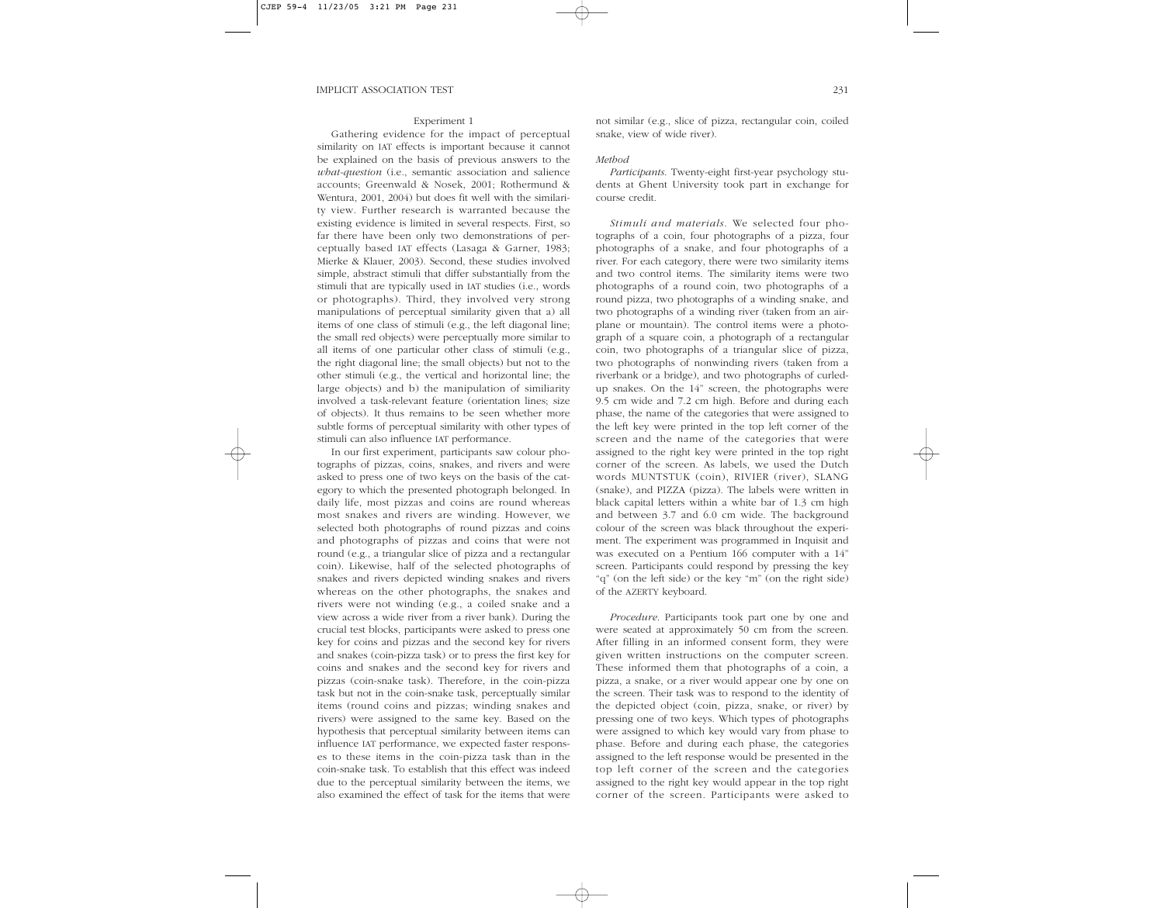# Experiment 1

Gathering evidence for the impact of perceptual similarity on IAT effects is important because it cannot be explained on the basis of previous answers to the *what-question* (i.e., semantic association and salience accounts; Greenwald & Nosek, 2001; Rothermund & Wentura, 2001, 2004) but does fit well with the similarity view. Further research is warranted because the existing evidence is limited in several respects. First, so far there have been only two demonstrations of perceptually based IAT effects (Lasaga & Garner, 1983; Mierke & Klauer, 2003). Second, these studies involved simple, abstract stimuli that differ substantially from the stimuli that are typically used in IAT studies (i.e., words or photographs). Third, they involved very strong manipulations of perceptual similarity given that a) all items of one class of stimuli (e.g., the left diagonal line; the small red objects) were perceptually more similar to all items of one particular other class of stimuli (e.g., the right diagonal line; the small objects) but not to the other stimuli (e.g., the vertical and horizontal line; the large objects) and b) the manipulation of similiarity involved a task-relevant feature (orientation lines; size of objects). It thus remains to be seen whether more subtle forms of perceptual similarity with other types of stimuli can also influence IAT performance.

In our first experiment, participants saw colour photographs of pizzas, coins, snakes, and rivers and were asked to press one of two keys on the basis of the category to which the presented photograph belonged. In daily life, most pizzas and coins are round whereas most snakes and rivers are winding. However, we selected both photographs of round pizzas and coins and photographs of pizzas and coins that were not round (e.g., a triangular slice of pizza and a rectangular coin). Likewise, half of the selected photographs of snakes and rivers depicted winding snakes and rivers whereas on the other photographs, the snakes and rivers were not winding (e.g., a coiled snake and a view across a wide river from a river bank). During the crucial test blocks, participants were asked to press one key for coins and pizzas and the second key for rivers and snakes (coin-pizza task) or to press the first key for coins and snakes and the second key for rivers and pizzas (coin-snake task). Therefore, in the coin-pizza task but not in the coin-snake task, perceptually similar items (round coins and pizzas; winding snakes and rivers) were assigned to the same key. Based on the hypothesis that perceptual similarity between items can influence IAT performance, we expected faster responses to these items in the coin-pizza task than in the coin-snake task. To establish that this effect was indeed due to the perceptual similarity between the items, we also examined the effect of task for the items that were not similar (e.g., slice of pizza, rectangular coin, coiled snake, view of wide river).

#### *Method*

*Participants*. Twenty-eight first-year psychology students at Ghent University took part in exchange for course credit.

*Stimuli and materials*. We selected four photographs of a coin, four photographs of a pizza, four photographs of a snake, and four photographs of a river. For each category, there were two similarity items and two control items. The similarity items were two photographs of a round coin, two photographs of a round pizza, two photographs of a winding snake, and two photographs of a winding river (taken from an airplane or mountain). The control items were a photograph of a square coin, a photograph of a rectangular coin, two photographs of a triangular slice of pizza, two photographs of nonwinding rivers (taken from a riverbank or a bridge), and two photographs of curledup snakes. On the 14" screen, the photographs were 9.5 cm wide and 7.2 cm high. Before and during each phase, the name of the categories that were assigned to the left key were printed in the top left corner of the screen and the name of the categories that were assigned to the right key were printed in the top right corner of the screen. As labels, we used the Dutch words MUNTSTUK (coin), RIVIER (river), SLANG (snake), and PIZZA (pizza). The labels were written in black capital letters within a white bar of 1.3 cm high and between 3.7 and 6.0 cm wide. The background colour of the screen was black throughout the experiment. The experiment was programmed in Inquisit and was executed on a Pentium 166 computer with a 14" screen. Participants could respond by pressing the key "q" (on the left side) or the key "m" (on the right side) of the AZERTY keyboard.

*Procedure*. Participants took part one by one and were seated at approximately 50 cm from the screen. After filling in an informed consent form, they were given written instructions on the computer screen. These informed them that photographs of a coin, a pizza, a snake, or a river would appear one by one on the screen. Their task was to respond to the identity of the depicted object (coin, pizza, snake, or river) by pressing one of two keys. Which types of photographs were assigned to which key would vary from phase to phase. Before and during each phase, the categories assigned to the left response would be presented in the top left corner of the screen and the categories assigned to the right key would appear in the top right corner of the screen. Participants were asked to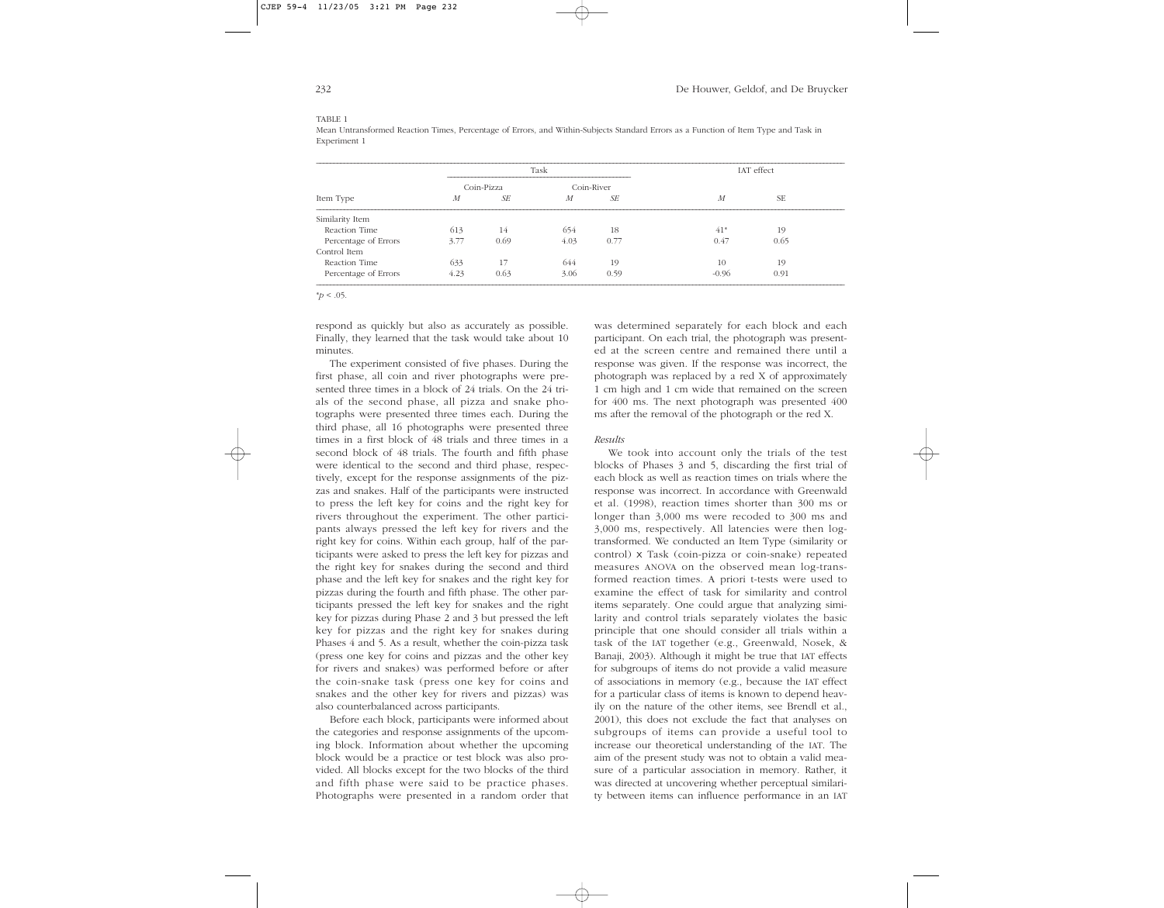| Item Type            | Task       |      |                |      | IAT effect       |           |
|----------------------|------------|------|----------------|------|------------------|-----------|
|                      | Coin-Pizza |      | Coin-River     |      |                  |           |
|                      | М          | SE   | $\overline{M}$ | SE   | $\boldsymbol{M}$ | <b>SE</b> |
| Similarity Item      |            |      |                |      |                  |           |
| Reaction Time        | 613        | 14   | 654            | 18   | $41*$            | 19        |
| Percentage of Errors | 3.77       | 0.69 | 4.03           | 0.77 | 0.47             | 0.65      |
| Control Item         |            |      |                |      |                  |           |
| Reaction Time        | 633        | 17   | 644            | 19   | 10               | 19        |
| Percentage of Errors | 4.23       | 0.63 | 3.06           | 0.59 | $-0.96$          | 0.91      |

TABLE 1

Mean Untransformed Reaction Times, Percentage of Errors, and Within-Subjects Standard Errors as a Function of Item Type and Task in Experiment 1

 $*_{\mathcal{D}}$  < .05.

respond as quickly but also as accurately as possible. Finally, they learned that the task would take about 10 minutes.

The experiment consisted of five phases. During the first phase, all coin and river photographs were presented three times in a block of 24 trials. On the 24 trials of the second phase, all pizza and snake photographs were presented three times each. During the third phase, all 16 photographs were presented three times in a first block of 48 trials and three times in a second block of 48 trials. The fourth and fifth phase were identical to the second and third phase, respectively, except for the response assignments of the pizzas and snakes. Half of the participants were instructed to press the left key for coins and the right key for rivers throughout the experiment. The other participants always pressed the left key for rivers and the right key for coins. Within each group, half of the participants were asked to press the left key for pizzas and the right key for snakes during the second and third phase and the left key for snakes and the right key for pizzas during the fourth and fifth phase. The other participants pressed the left key for snakes and the right key for pizzas during Phase 2 and 3 but pressed the left key for pizzas and the right key for snakes during Phases 4 and 5. As a result, whether the coin-pizza task (press one key for coins and pizzas and the other key for rivers and snakes) was performed before or after the coin-snake task (press one key for coins and snakes and the other key for rivers and pizzas) was also counterbalanced across participants.

Before each block, participants were informed about the categories and response assignments of the upcoming block. Information about whether the upcoming block would be a practice or test block was also provided. All blocks except for the two blocks of the third and fifth phase were said to be practice phases. Photographs were presented in a random order that

was determined separately for each block and each participant. On each trial, the photograph was presented at the screen centre and remained there until a response was given. If the response was incorrect, the photograph was replaced by a red X of approximately 1 cm high and 1 cm wide that remained on the screen for 400 ms. The next photograph was presented 400 ms after the removal of the photograph or the red X.

# *Results*

We took into account only the trials of the test blocks of Phases 3 and 5, discarding the first trial of each block as well as reaction times on trials where the response was incorrect. In accordance with Greenwald et al. (1998), reaction times shorter than 300 ms or longer than 3,000 ms were recoded to 300 ms and 3,000 ms, respectively. All latencies were then logtransformed. We conducted an Item Type (similarity or control) x Task (coin-pizza or coin-snake) repeated measures ANOVA on the observed mean log-transformed reaction times. A priori t-tests were used to examine the effect of task for similarity and control items separately. One could argue that analyzing similarity and control trials separately violates the basic principle that one should consider all trials within a task of the IAT together (e.g., Greenwald, Nosek, & Banaji, 2003). Although it might be true that IAT effects for subgroups of items do not provide a valid measure of associations in memory (e.g., because the IAT effect for a particular class of items is known to depend heavily on the nature of the other items, see Brendl et al., 2001), this does not exclude the fact that analyses on subgroups of items can provide a useful tool to increase our theoretical understanding of the IAT. The aim of the present study was not to obtain a valid measure of a particular association in memory. Rather, it was directed at uncovering whether perceptual similarity between items can influence performance in an IAT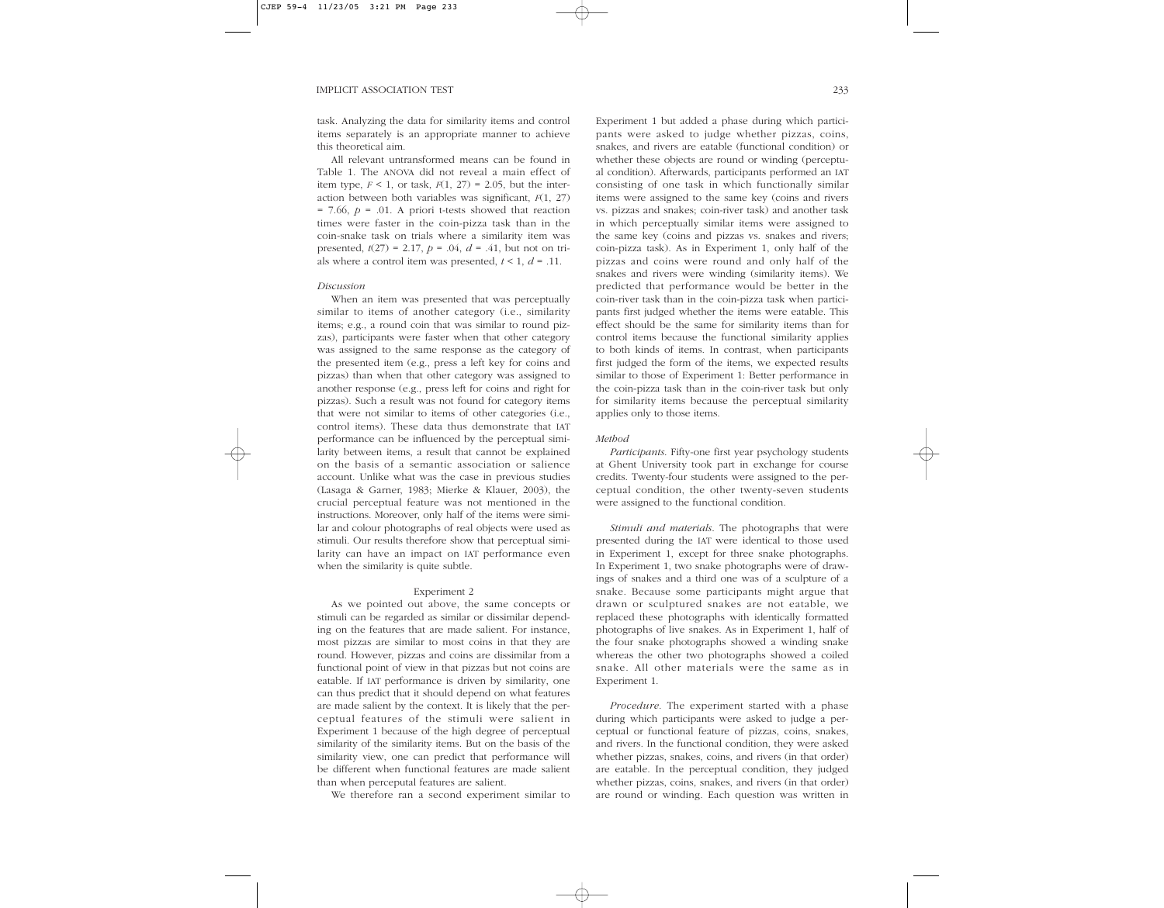task. Analyzing the data for similarity items and control items separately is an appropriate manner to achieve this theoretical aim.

All relevant untransformed means can be found in Table 1. The ANOVA did not reveal a main effect of item type,  $F \le 1$ , or task,  $F(1, 27) = 2.05$ , but the interaction between both variables was significant, *F*(1, 27) = 7.66, *p* = .01. A priori t-tests showed that reaction times were faster in the coin-pizza task than in the coin-snake task on trials where a similarity item was presented,  $t(27) = 2.17$ ,  $p = .04$ ,  $d = .41$ , but not on trials where a control item was presented,  $t < 1$ ,  $d = .11$ .

#### *Discussion*

When an item was presented that was perceptually similar to items of another category (i.e., similarity items; e.g., a round coin that was similar to round pizzas), participants were faster when that other category was assigned to the same response as the category of the presented item (e.g., press a left key for coins and pizzas) than when that other category was assigned to another response (e.g., press left for coins and right for pizzas). Such a result was not found for category items that were not similar to items of other categories (i.e., control items). These data thus demonstrate that IAT performance can be influenced by the perceptual similarity between items, a result that cannot be explained on the basis of a semantic association or salience account. Unlike what was the case in previous studies (Lasaga & Garner, 1983; Mierke & Klauer, 2003), the crucial perceptual feature was not mentioned in the instructions. Moreover, only half of the items were similar and colour photographs of real objects were used as stimuli. Our results therefore show that perceptual similarity can have an impact on IAT performance even when the similarity is quite subtle.

# Experiment 2

As we pointed out above, the same concepts or stimuli can be regarded as similar or dissimilar depending on the features that are made salient. For instance, most pizzas are similar to most coins in that they are round. However, pizzas and coins are dissimilar from a functional point of view in that pizzas but not coins are eatable. If IAT performance is driven by similarity, one can thus predict that it should depend on what features are made salient by the context. It is likely that the perceptual features of the stimuli were salient in Experiment 1 because of the high degree of perceptual similarity of the similarity items. But on the basis of the similarity view, one can predict that performance will be different when functional features are made salient than when perceputal features are salient.

We therefore ran a second experiment similar to

Experiment 1 but added a phase during which participants were asked to judge whether pizzas, coins, snakes, and rivers are eatable (functional condition) or whether these objects are round or winding (perceptual condition). Afterwards, participants performed an IAT consisting of one task in which functionally similar items were assigned to the same key (coins and rivers vs. pizzas and snakes; coin-river task) and another task in which perceptually similar items were assigned to the same key (coins and pizzas vs. snakes and rivers; coin-pizza task). As in Experiment 1, only half of the pizzas and coins were round and only half of the snakes and rivers were winding (similarity items). We predicted that performance would be better in the coin-river task than in the coin-pizza task when participants first judged whether the items were eatable. This effect should be the same for similarity items than for control items because the functional similarity applies to both kinds of items. In contrast, when participants first judged the form of the items, we expected results similar to those of Experiment 1: Better performance in the coin-pizza task than in the coin-river task but only for similarity items because the perceptual similarity applies only to those items.

#### *Method*

*Participants*. Fifty-one first year psychology students at Ghent University took part in exchange for course credits. Twenty-four students were assigned to the perceptual condition, the other twenty-seven students were assigned to the functional condition.

*Stimuli and materials*. The photographs that were presented during the IAT were identical to those used in Experiment 1, except for three snake photographs. In Experiment 1, two snake photographs were of drawings of snakes and a third one was of a sculpture of a snake. Because some participants might argue that drawn or sculptured snakes are not eatable, we replaced these photographs with identically formatted photographs of live snakes. As in Experiment 1, half of the four snake photographs showed a winding snake whereas the other two photographs showed a coiled snake. All other materials were the same as in Experiment 1.

*Procedure*. The experiment started with a phase during which participants were asked to judge a perceptual or functional feature of pizzas, coins, snakes, and rivers. In the functional condition, they were asked whether pizzas, snakes, coins, and rivers (in that order) are eatable. In the perceptual condition, they judged whether pizzas, coins, snakes, and rivers (in that order) are round or winding. Each question was written in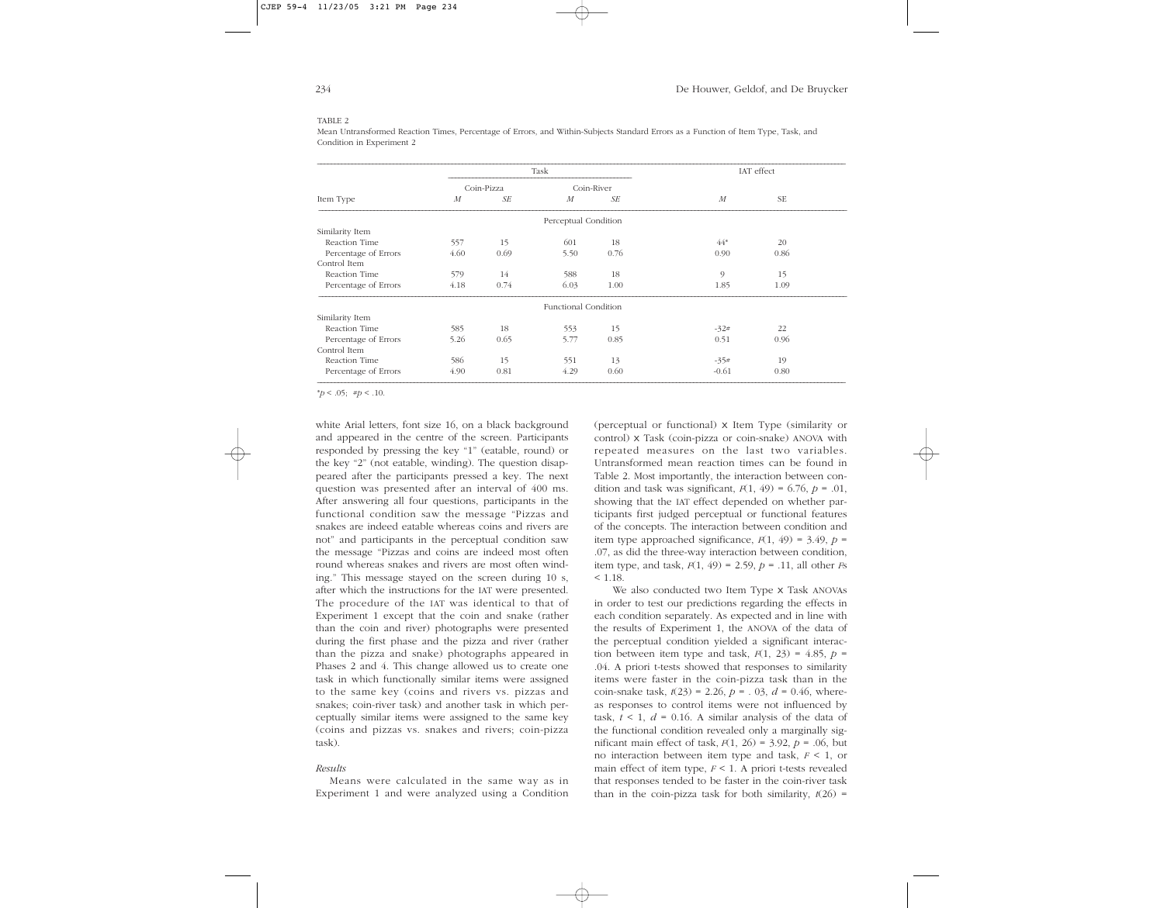| - 1<br>٠<br>.<br>٠<br>٠<br>. . |  |
|--------------------------------|--|
|--------------------------------|--|

Mean Untransformed Reaction Times, Percentage of Errors, and Within-Subjects Standard Errors as a Function of Item Type, Task, and Condition in Experiment 2

| Item Type            | Task             |           |                             |      | IAT effect       |           |  |
|----------------------|------------------|-----------|-----------------------------|------|------------------|-----------|--|
|                      | Coin-Pizza       |           | Coin-River                  |      |                  |           |  |
|                      | $\boldsymbol{M}$ | <b>SE</b> | $\boldsymbol{M}$            | SE   | $\boldsymbol{M}$ | <b>SE</b> |  |
|                      |                  |           | Perceptual Condition        |      |                  |           |  |
| Similarity Item      |                  |           |                             |      |                  |           |  |
| Reaction Time        | 557              | 15        | 601                         | 18   | $44*$            | 20        |  |
| Percentage of Errors | 4.60             | 0.69      | 5.50                        | 0.76 | 0.90             | 0.86      |  |
| Control Item         |                  |           |                             |      |                  |           |  |
| Reaction Time        | 579              | 14        | 588                         | 18   | 9                | 15        |  |
| Percentage of Errors | 4.18             | 0.74      | 6.03                        | 1.00 | 1.85             | 1.09      |  |
|                      |                  |           | <b>Functional Condition</b> |      |                  |           |  |
| Similarity Item      |                  |           |                             |      |                  |           |  |
| Reaction Time        | 585              | 18        | 553                         | 15   | $-32#$           | 22        |  |
| Percentage of Errors | 5.26             | 0.65      | 5.77                        | 0.85 | 0.51             | 0.96      |  |
| Control Item         |                  |           |                             |      |                  |           |  |
| Reaction Time        | 586              | 15        | 551                         | 13   | $-35#$           | 19        |  |
| Percentage of Errors | 4.90             | 0.81      | 4.29                        | 0.60 | $-0.61$          | 0.80      |  |

 $*p < .05;$  # $p < .10.$ 

white Arial letters, font size 16, on a black background and appeared in the centre of the screen. Participants responded by pressing the key "1" (eatable, round) or the key "2" (not eatable, winding). The question disappeared after the participants pressed a key. The next question was presented after an interval of 400 ms. After answering all four questions, participants in the functional condition saw the message "Pizzas and snakes are indeed eatable whereas coins and rivers are not" and participants in the perceptual condition saw the message "Pizzas and coins are indeed most often round whereas snakes and rivers are most often winding." This message stayed on the screen during 10 s, after which the instructions for the IAT were presented. The procedure of the IAT was identical to that of Experiment 1 except that the coin and snake (rather than the coin and river) photographs were presented during the first phase and the pizza and river (rather than the pizza and snake) photographs appeared in Phases 2 and 4. This change allowed us to create one task in which functionally similar items were assigned to the same key (coins and rivers vs. pizzas and snakes; coin-river task) and another task in which perceptually similar items were assigned to the same key (coins and pizzas vs. snakes and rivers; coin-pizza task).

# *Results*

Means were calculated in the same way as in Experiment 1 and were analyzed using a Condition

(perceptual or functional) x Item Type (similarity or control) x Task (coin-pizza or coin-snake) ANOVA with repeated measures on the last two variables. Untransformed mean reaction times can be found in Table 2. Most importantly, the interaction between condition and task was significant,  $F(1, 49) = 6.76$ ,  $p = .01$ , showing that the IAT effect depended on whether participants first judged perceptual or functional features of the concepts. The interaction between condition and item type approached significance,  $F(1, 49) = 3.49$ ,  $p =$ .07, as did the three-way interaction between condition, item type, and task, *F*(1, 49) = 2.59, *p* = .11, all other *F*s  $< 1.18.$ 

We also conducted two Item Type  $\times$  Task ANOVAs in order to test our predictions regarding the effects in each condition separately. As expected and in line with the results of Experiment 1, the ANOVA of the data of the perceptual condition yielded a significant interaction between item type and task,  $F(1, 23) = 4.85$ ,  $p =$ .04. A priori t-tests showed that responses to similarity items were faster in the coin-pizza task than in the coin-snake task,  $t(23) = 2.26$ ,  $p = 0.3$ ,  $d = 0.46$ , whereas responses to control items were not influenced by task,  $t < 1$ ,  $d = 0.16$ . A similar analysis of the data of the functional condition revealed only a marginally significant main effect of task,  $F(1, 26) = 3.92$ ,  $p = .06$ , but no interaction between item type and task,  $F < 1$ , or main effect of item type,  $F \leq 1$ . A priori t-tests revealed that responses tended to be faster in the coin-river task than in the coin-pizza task for both similarity,  $t(26)$  =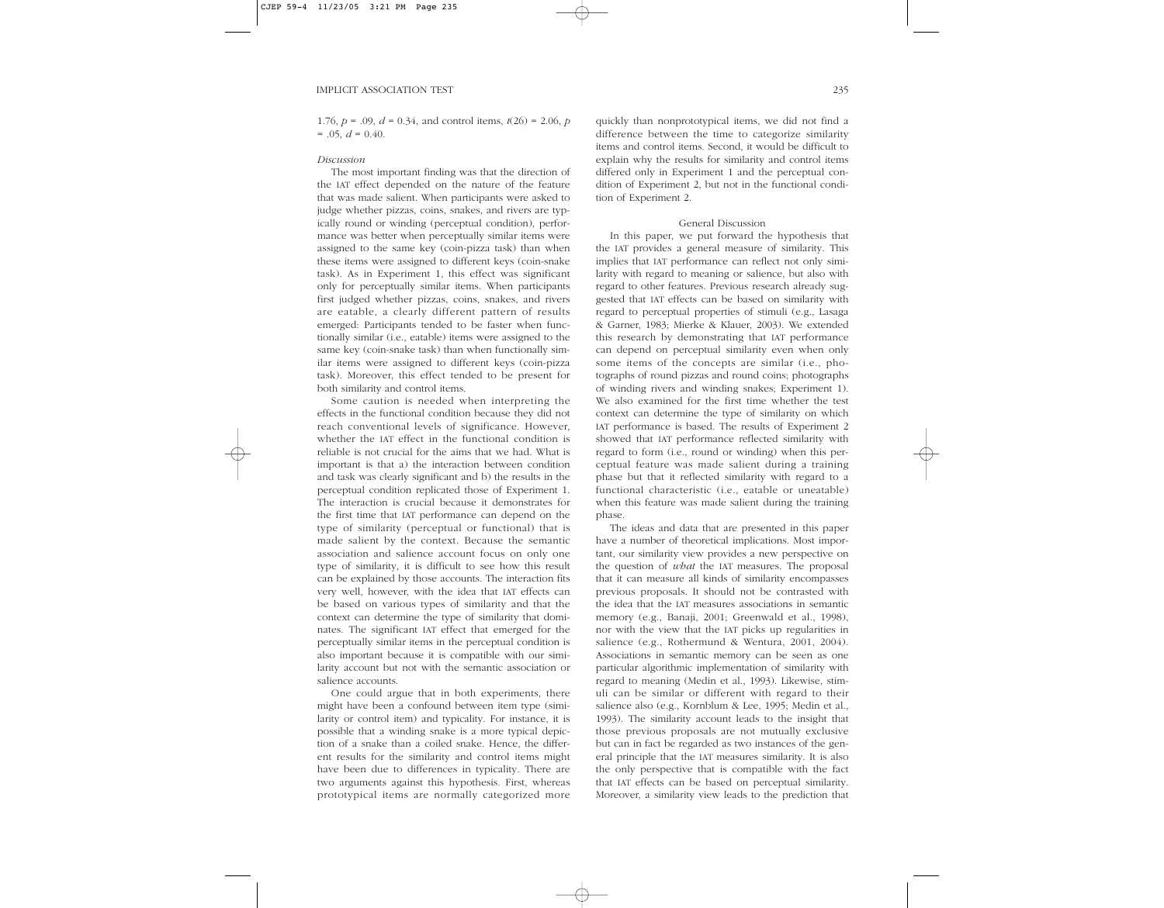1.76, *p* = .09, *d* = 0.34, and control items, *t*(26) = 2.06, *p*  $= .05, d = 0.40.$ 

# *Discussion*

The most important finding was that the direction of the IAT effect depended on the nature of the feature that was made salient. When participants were asked to judge whether pizzas, coins, snakes, and rivers are typically round or winding (perceptual condition), performance was better when perceptually similar items were assigned to the same key (coin-pizza task) than when these items were assigned to different keys (coin-snake task). As in Experiment 1, this effect was significant only for perceptually similar items. When participants first judged whether pizzas, coins, snakes, and rivers are eatable, a clearly different pattern of results emerged: Participants tended to be faster when functionally similar (i.e., eatable) items were assigned to the same key (coin-snake task) than when functionally similar items were assigned to different keys (coin-pizza task). Moreover, this effect tended to be present for both similarity and control items.

Some caution is needed when interpreting the effects in the functional condition because they did not reach conventional levels of significance. However, whether the IAT effect in the functional condition is reliable is not crucial for the aims that we had. What is important is that a) the interaction between condition and task was clearly significant and b) the results in the perceptual condition replicated those of Experiment 1. The interaction is crucial because it demonstrates for the first time that IAT performance can depend on the type of similarity (perceptual or functional) that is made salient by the context. Because the semantic association and salience account focus on only one type of similarity, it is difficult to see how this result can be explained by those accounts. The interaction fits very well, however, with the idea that IAT effects can be based on various types of similarity and that the context can determine the type of similarity that dominates. The significant IAT effect that emerged for the perceptually similar items in the perceptual condition is also important because it is compatible with our similarity account but not with the semantic association or salience accounts.

One could argue that in both experiments, there might have been a confound between item type (similarity or control item) and typicality. For instance, it is possible that a winding snake is a more typical depiction of a snake than a coiled snake. Hence, the different results for the similarity and control items might have been due to differences in typicality. There are two arguments against this hypothesis. First, whereas prototypical items are normally categorized more quickly than nonprototypical items, we did not find a difference between the time to categorize similarity items and control items. Second, it would be difficult to explain why the results for similarity and control items differed only in Experiment 1 and the perceptual condition of Experiment 2, but not in the functional condition of Experiment 2.

## General Discussion

In this paper, we put forward the hypothesis that the IAT provides a general measure of similarity. This implies that IAT performance can reflect not only similarity with regard to meaning or salience, but also with regard to other features. Previous research already suggested that IAT effects can be based on similarity with regard to perceptual properties of stimuli (e.g., Lasaga & Garner, 1983; Mierke & Klauer, 2003). We extended this research by demonstrating that IAT performance can depend on perceptual similarity even when only some items of the concepts are similar (i.e., photographs of round pizzas and round coins; photographs of winding rivers and winding snakes; Experiment 1). We also examined for the first time whether the test context can determine the type of similarity on which IAT performance is based. The results of Experiment 2 showed that IAT performance reflected similarity with regard to form (i.e., round or winding) when this perceptual feature was made salient during a training phase but that it reflected similarity with regard to a functional characteristic (i.e., eatable or uneatable) when this feature was made salient during the training phase.

The ideas and data that are presented in this paper have a number of theoretical implications. Most important, our similarity view provides a new perspective on the question of *what* the IAT measures. The proposal that it can measure all kinds of similarity encompasses previous proposals. It should not be contrasted with the idea that the IAT measures associations in semantic memory (e.g., Banaji, 2001; Greenwald et al., 1998), nor with the view that the IAT picks up regularities in salience (e.g., Rothermund & Wentura, 2001, 2004). Associations in semantic memory can be seen as one particular algorithmic implementation of similarity with regard to meaning (Medin et al., 1993). Likewise, stimuli can be similar or different with regard to their salience also (e.g., Kornblum & Lee, 1995; Medin et al., 1993). The similarity account leads to the insight that those previous proposals are not mutually exclusive but can in fact be regarded as two instances of the general principle that the IAT measures similarity. It is also the only perspective that is compatible with the fact that IAT effects can be based on perceptual similarity. Moreover, a similarity view leads to the prediction that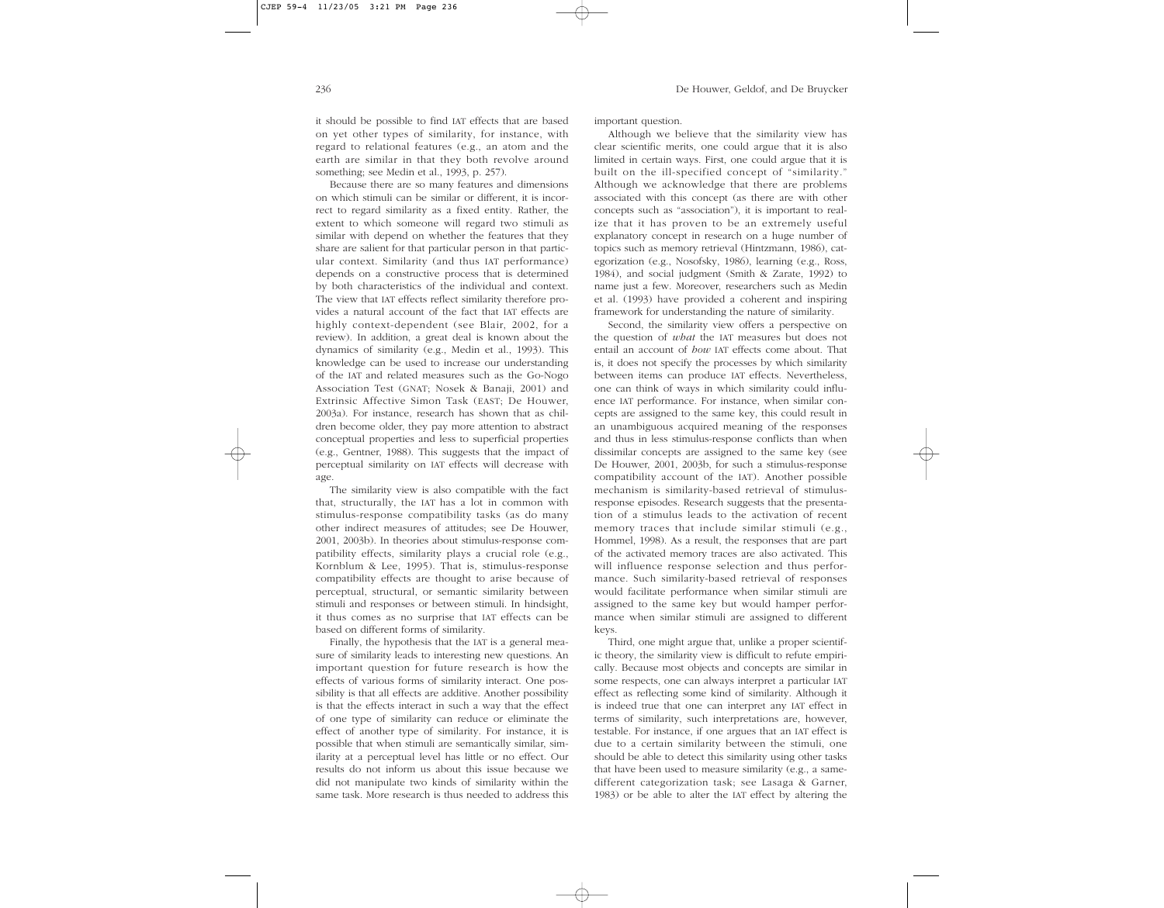it should be possible to find IAT effects that are based on yet other types of similarity, for instance, with regard to relational features (e.g., an atom and the earth are similar in that they both revolve around something; see Medin et al., 1993, p. 257).

Because there are so many features and dimensions on which stimuli can be similar or different, it is incorrect to regard similarity as a fixed entity. Rather, the extent to which someone will regard two stimuli as similar with depend on whether the features that they share are salient for that particular person in that particular context. Similarity (and thus IAT performance) depends on a constructive process that is determined by both characteristics of the individual and context. The view that IAT effects reflect similarity therefore provides a natural account of the fact that IAT effects are highly context-dependent (see Blair, 2002, for a review). In addition, a great deal is known about the dynamics of similarity (e.g., Medin et al., 1993). This knowledge can be used to increase our understanding of the IAT and related measures such as the Go-Nogo Association Test (GNAT; Nosek & Banaji, 2001) and Extrinsic Affective Simon Task (EAST; De Houwer, 2003a). For instance, research has shown that as children become older, they pay more attention to abstract conceptual properties and less to superficial properties (e.g., Gentner, 1988). This suggests that the impact of perceptual similarity on IAT effects will decrease with age.

The similarity view is also compatible with the fact that, structurally, the IAT has a lot in common with stimulus-response compatibility tasks (as do many other indirect measures of attitudes; see De Houwer, 2001, 2003b). In theories about stimulus-response compatibility effects, similarity plays a crucial role (e.g., Kornblum & Lee, 1995). That is, stimulus-response compatibility effects are thought to arise because of perceptual, structural, or semantic similarity between stimuli and responses or between stimuli. In hindsight, it thus comes as no surprise that IAT effects can be based on different forms of similarity.

Finally, the hypothesis that the IAT is a general measure of similarity leads to interesting new questions. An important question for future research is how the effects of various forms of similarity interact. One possibility is that all effects are additive. Another possibility is that the effects interact in such a way that the effect of one type of similarity can reduce or eliminate the effect of another type of similarity. For instance, it is possible that when stimuli are semantically similar, similarity at a perceptual level has little or no effect. Our results do not inform us about this issue because we did not manipulate two kinds of similarity within the same task. More research is thus needed to address this

important question.

Although we believe that the similarity view has clear scientific merits, one could argue that it is also limited in certain ways. First, one could argue that it is built on the ill-specified concept of "similarity." Although we acknowledge that there are problems associated with this concept (as there are with other concepts such as "association"), it is important to realize that it has proven to be an extremely useful explanatory concept in research on a huge number of topics such as memory retrieval (Hintzmann, 1986), categorization (e.g., Nosofsky, 1986), learning (e.g., Ross, 1984), and social judgment (Smith & Zarate, 1992) to name just a few. Moreover, researchers such as Medin et al. (1993) have provided a coherent and inspiring framework for understanding the nature of similarity.

Second, the similarity view offers a perspective on the question of *what* the IAT measures but does not entail an account of *how* IAT effects come about. That is, it does not specify the processes by which similarity between items can produce IAT effects. Nevertheless, one can think of ways in which similarity could influence IAT performance. For instance, when similar concepts are assigned to the same key, this could result in an unambiguous acquired meaning of the responses and thus in less stimulus-response conflicts than when dissimilar concepts are assigned to the same key (see De Houwer, 2001, 2003b, for such a stimulus-response compatibility account of the IAT). Another possible mechanism is similarity-based retrieval of stimulusresponse episodes. Research suggests that the presentation of a stimulus leads to the activation of recent memory traces that include similar stimuli (e.g., Hommel, 1998). As a result, the responses that are part of the activated memory traces are also activated. This will influence response selection and thus performance. Such similarity-based retrieval of responses would facilitate performance when similar stimuli are assigned to the same key but would hamper performance when similar stimuli are assigned to different keys.

Third, one might argue that, unlike a proper scientific theory, the similarity view is difficult to refute empirically. Because most objects and concepts are similar in some respects, one can always interpret a particular IAT effect as reflecting some kind of similarity. Although it is indeed true that one can interpret any IAT effect in terms of similarity, such interpretations are, however, testable. For instance, if one argues that an IAT effect is due to a certain similarity between the stimuli, one should be able to detect this similarity using other tasks that have been used to measure similarity (e.g., a samedifferent categorization task; see Lasaga & Garner, 1983) or be able to alter the IAT effect by altering the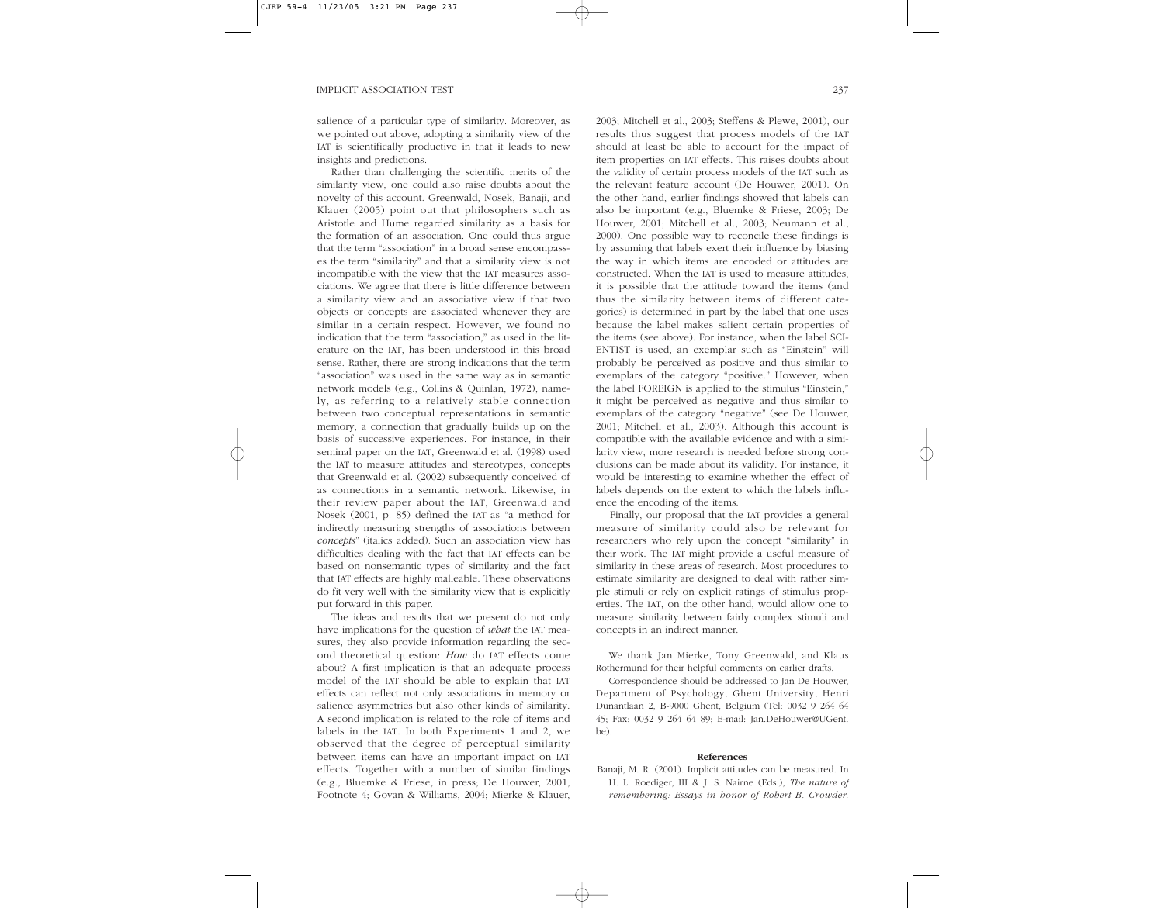salience of a particular type of similarity. Moreover, as we pointed out above, adopting a similarity view of the IAT is scientifically productive in that it leads to new insights and predictions.

Rather than challenging the scientific merits of the similarity view, one could also raise doubts about the novelty of this account. Greenwald, Nosek, Banaji, and Klauer (2005) point out that philosophers such as Aristotle and Hume regarded similarity as a basis for the formation of an association. One could thus argue that the term "association" in a broad sense encompasses the term "similarity" and that a similarity view is not incompatible with the view that the IAT measures associations. We agree that there is little difference between a similarity view and an associative view if that two objects or concepts are associated whenever they are similar in a certain respect. However, we found no indication that the term "association," as used in the literature on the IAT, has been understood in this broad sense. Rather, there are strong indications that the term "association" was used in the same way as in semantic network models (e.g., Collins & Quinlan, 1972), namely, as referring to a relatively stable connection between two conceptual representations in semantic memory, a connection that gradually builds up on the basis of successive experiences. For instance, in their seminal paper on the IAT, Greenwald et al. (1998) used the IAT to measure attitudes and stereotypes, concepts that Greenwald et al. (2002) subsequently conceived of as connections in a semantic network. Likewise, in their review paper about the IAT, Greenwald and Nosek (2001, p. 85) defined the IAT as "a method for indirectly measuring strengths of associations between *concepts*" (italics added). Such an association view has difficulties dealing with the fact that IAT effects can be based on nonsemantic types of similarity and the fact that IAT effects are highly malleable. These observations do fit very well with the similarity view that is explicitly put forward in this paper.

The ideas and results that we present do not only have implications for the question of *what* the IAT measures, they also provide information regarding the second theoretical question: *How* do IAT effects come about? A first implication is that an adequate process model of the IAT should be able to explain that IAT effects can reflect not only associations in memory or salience asymmetries but also other kinds of similarity. A second implication is related to the role of items and labels in the IAT. In both Experiments 1 and 2, we observed that the degree of perceptual similarity between items can have an important impact on IAT effects. Together with a number of similar findings (e.g., Bluemke & Friese, in press; De Houwer, 2001, Footnote 4; Govan & Williams, 2004; Mierke & Klauer,

2003; Mitchell et al., 2003; Steffens & Plewe, 2001), our results thus suggest that process models of the IAT should at least be able to account for the impact of item properties on IAT effects. This raises doubts about the validity of certain process models of the IAT such as the relevant feature account (De Houwer, 2001). On the other hand, earlier findings showed that labels can also be important (e.g., Bluemke & Friese, 2003; De Houwer, 2001; Mitchell et al., 2003; Neumann et al., 2000). One possible way to reconcile these findings is by assuming that labels exert their influence by biasing the way in which items are encoded or attitudes are constructed. When the IAT is used to measure attitudes, it is possible that the attitude toward the items (and thus the similarity between items of different categories) is determined in part by the label that one uses because the label makes salient certain properties of the items (see above). For instance, when the label SCI-ENTIST is used, an exemplar such as "Einstein" will probably be perceived as positive and thus similar to exemplars of the category "positive." However, when the label FOREIGN is applied to the stimulus "Einstein," it might be perceived as negative and thus similar to exemplars of the category "negative" (see De Houwer, 2001; Mitchell et al., 2003). Although this account is compatible with the available evidence and with a similarity view, more research is needed before strong conclusions can be made about its validity. For instance, it would be interesting to examine whether the effect of labels depends on the extent to which the labels influence the encoding of the items.

Finally, our proposal that the IAT provides a general measure of similarity could also be relevant for researchers who rely upon the concept "similarity" in their work. The IAT might provide a useful measure of similarity in these areas of research. Most procedures to estimate similarity are designed to deal with rather simple stimuli or rely on explicit ratings of stimulus properties. The IAT, on the other hand, would allow one to measure similarity between fairly complex stimuli and concepts in an indirect manner.

We thank Jan Mierke, Tony Greenwald, and Klaus Rothermund for their helpful comments on earlier drafts.

Correspondence should be addressed to Jan De Houwer, Department of Psychology, Ghent University, Henri Dunantlaan 2, B-9000 Ghent, Belgium (Tel: 0032 9 264 64 45; Fax: 0032 9 264 64 89; E-mail: Jan.DeHouwer@UGent. be).

# **References**

Banaji, M. R. (2001). Implicit attitudes can be measured. In H. L. Roediger, III & J. S. Nairne (Eds.), *The nature of remembering: Essays in honor of Robert B. Crowder.*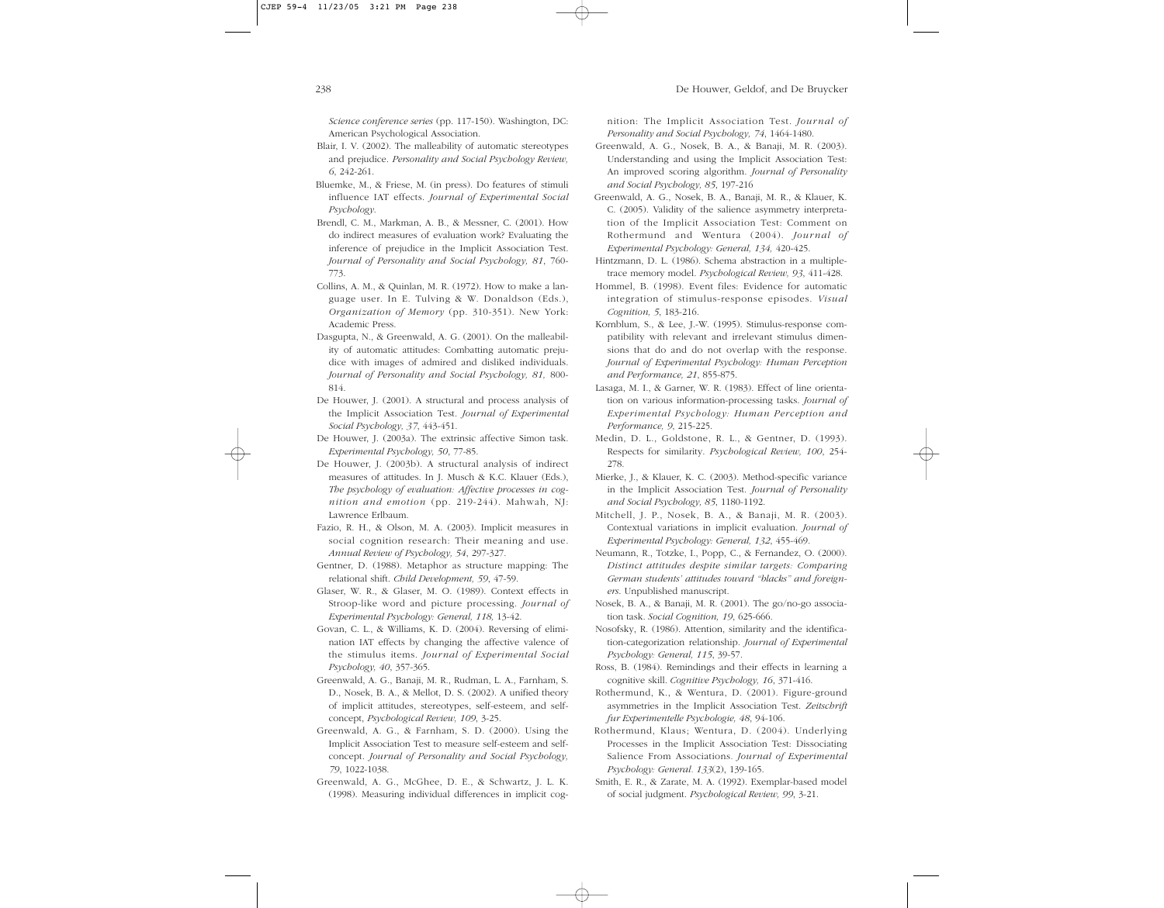*Science conference series* (pp. 117-150). Washington, DC: American Psychological Association.

- Blair, I. V. (2002). The malleability of automatic stereotypes and prejudice. *Personality and Social Psychology Review, 6*, 242-261.
- Bluemke, M., & Friese, M. (in press). Do features of stimuli influence IAT effects. *Journal of Experimental Social Psychology*.
- Brendl, C. M., Markman, A. B., & Messner, C. (2001). How do indirect measures of evaluation work? Evaluating the inference of prejudice in the Implicit Association Test. *Journal of Personality and Social Psychology, 81*, 760- 773.
- Collins, A. M., & Quinlan, M. R. (1972). How to make a language user. In E. Tulving & W. Donaldson (Eds.), *Organization of Memory* (pp. 310-351). New York: Academic Press.
- Dasgupta, N., & Greenwald, A. G. (2001). On the malleability of automatic attitudes: Combatting automatic prejudice with images of admired and disliked individuals. *Journal of Personality and Social Psychology, 81,* 800- 814.
- De Houwer, J. (2001). A structural and process analysis of the Implicit Association Test. *Journal of Experimental Social Psychology, 37*, 443-451.
- De Houwer, J. (2003a). The extrinsic affective Simon task. *Experimental Psychology, 50*, 77-85.
- De Houwer, J. (2003b). A structural analysis of indirect measures of attitudes. In J. Musch & K.C. Klauer (Eds.), *The psychology of evaluation: Affective processes in cognition and emotion* (pp. 219-244). Mahwah, NJ: Lawrence Erlbaum.
- Fazio, R. H., & Olson, M. A. (2003). Implicit measures in social cognition research: Their meaning and use. *Annual Review of Psychology, 54*, 297-327.
- Gentner, D. (1988). Metaphor as structure mapping: The relational shift. *Child Development, 59*, 47-59.
- Glaser, W. R., & Glaser, M. O. (1989). Context effects in Stroop-like word and picture processing. *Journal of Experimental Psychology: General, 118,* 13-42.
- Govan, C. L., & Williams, K. D. (2004). Reversing of elimination IAT effects by changing the affective valence of the stimulus items. *Journal of Experimental Social Psychology, 40*, 357-365.
- Greenwald, A. G., Banaji, M. R., Rudman, L. A., Farnham, S. D., Nosek, B. A., & Mellot, D. S. (2002). A unified theory of implicit attitudes, stereotypes, self-esteem, and selfconcept, *Psychological Review, 109*, 3-25.
- Greenwald, A. G., & Farnham, S. D. (2000). Using the Implicit Association Test to measure self-esteem and selfconcept. *Journal of Personality and Social Psychology, 79*, 1022-1038.
- Greenwald, A. G., McGhee, D. E., & Schwartz, J. L. K. (1998). Measuring individual differences in implicit cog-

nition: The Implicit Association Test. *Journal of Personality and Social Psychology, 74*, 1464-1480.

- Greenwald, A. G., Nosek, B. A., & Banaji, M. R. (2003). Understanding and using the Implicit Association Test: An improved scoring algorithm. *Journal of Personality and Social Psychology, 85*, 197-216
- Greenwald, A. G., Nosek, B. A., Banaji, M. R., & Klauer, K. C. (2005). Validity of the salience asymmetry interpretation of the Implicit Association Test: Comment on Rothermund and Wentura (2004). *Journal of Experimental Psychology: General, 134,* 420-425.
- Hintzmann, D. L. (1986). Schema abstraction in a multipletrace memory model. *Psychological Review, 93*, 411-428.
- Hommel, B. (1998). Event files: Evidence for automatic integration of stimulus-response episodes. *Visual Cognition, 5*, 183-216.
- Kornblum, S., & Lee, J.-W. (1995). Stimulus-response compatibility with relevant and irrelevant stimulus dimensions that do and do not overlap with the response. *Journal of Experimental Psychology: Human Perception and Performance, 21*, 855-875.
- Lasaga, M. I., & Garner, W. R. (1983). Effect of line orientation on various information-processing tasks. *Journal of Experimental Psychology: Human Perception and Performance, 9*, 215-225.
- Medin, D. L., Goldstone, R. L., & Gentner, D. (1993). Respects for similarity. *Psychological Review, 100*, 254- 278.
- Mierke, J., & Klauer, K. C. (2003). Method-specific variance in the Implicit Association Test. *Journal of Personality and Social Psychology, 85*, 1180-1192.
- Mitchell, J. P., Nosek, B. A., & Banaji, M. R. (2003). Contextual variations in implicit evaluation. *Journal of Experimental Psychology: General, 132*, 455-469.
- Neumann, R., Totzke, I., Popp, C., & Fernandez, O. (2000). *Distinct attitudes despite similar targets: Comparing German students' attitudes toward "blacks" and foreigners*. Unpublished manuscript.
- Nosek, B. A., & Banaji, M. R. (2001). The go/no-go association task. *Social Cognition, 19*, 625-666.
- Nosofsky, R. (1986). Attention, similarity and the identification-categorization relationship. *Journal of Experimental Psychology: General, 115*, 39-57.
- Ross, B. (1984). Remindings and their effects in learning a cognitive skill. *Cognitive Psychology, 16*, 371-416.
- Rothermund, K., & Wentura, D. (2001). Figure-ground asymmetries in the Implicit Association Test. *Zeitschrift fur Experimentelle Psychologie, 48*, 94-106.
- Rothermund, Klaus; Wentura, D. (2004). Underlying Processes in the Implicit Association Test: Dissociating Salience From Associations*. Journal of Experimental Psychology: General. 133*(2), 139-165.
- Smith, E. R., & Zarate, M. A. (1992). Exemplar-based model of social judgment. *Psychological Review, 99*, 3-21.